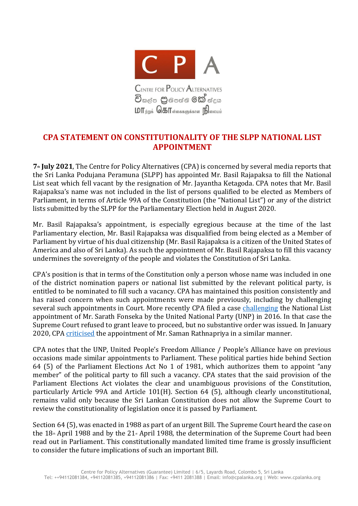

## **CPA STATEMENT ON CONSTITUTIONALITY OF THE SLPP NATIONAL LIST APPOINTMENT**

**7th July 2021**, The Centre for Policy Alternatives (CPA) is concerned by several media reports that the Sri Lanka Podujana Peramuna (SLPP) has appointed Mr. Basil Rajapaksa to fill the National List seat which fell vacant by the resignation of Mr. Jayantha Ketagoda. CPA notes that Mr. Basil Rajapaksa's name was not included in the list of persons qualified to be elected as Members of Parliament, in terms of Article 99A of the Constitution (the "National List") or any of the district lists submitted by the SLPP for the Parliamentary Election held in August 2020.

Mr. Basil Rajapaksa's appointment, is especially egregious because at the time of the last Parliamentary election, Mr. Basil Rajapaksa was disqualified from being elected as a Member of Parliament by virtue of his dual citizenship (Mr. Basil Rajapaksa is a citizen of the United States of America and also of Sri Lanka). As such the appointment of Mr. Basil Rajapaksa to fill this vacancy undermines the sovereignty of the people and violates the Constitution of Sri Lanka.

CPA's position is that in terms of the Constitution only a person whose name was included in one of the district nomination papers or national list submitted by the relevant political party, is entitled to be nominated to fill such a vacancy. CPA has maintained this position consistently and has raised concern when such appointments were made previously, including by challenging several such appointments in Court. More recently CPA filed a case [challenging](https://www.cpalanka.org/the-centre-for-policy-alternatives-vs-kabir-hashim-and-others-sc-fr-application-no-54-2016/) the National List appointment of Mr. Sarath Fonseka by the United National Party (UNP) in 2016. In that case the Supreme Court refused to grant leave to proceed, but no substantive order was issued. In January 2020, CPA [criticised](https://www.cpalanka.org/wp-content/uploads/2020/01/Statement-on-Constitutionality-of-Proposed-UNP-National-List-Appointment.pdf) the appointment of Mr. Saman Rathnapriya in a similar manner.

CPA notes that the UNP, United People's Freedom Alliance / People's Alliance have on previous occasions made similar appointments to Parliament. These political parties hide behind Section 64 (5) of the Parliament Elections Act No 1 of 1981, which authorizes them to appoint "any member" of the political party to fill such a vacancy. CPA states that the said provision of the Parliament Elections Act violates the clear and unambiguous provisions of the Constitution, particularly Article 99A and Article 101(H). Section 64 (5), although clearly unconstitutional, remains valid only because the Sri Lankan Constitution does not allow the Supreme Court to review the constitutionality of legislation once it is passed by Parliament.

Section 64 (5), was enacted in 1988 as part of an urgent Bill. The Supreme Court heard the case on the  $18<sub>th</sub>$  April 1988 and by the 21 $<sub>th</sub>$  April 1988, the determination of the Supreme Court had been</sub> read out in Parliament. This constitutionally mandated limited time frame is grossly insufficient to consider the future implications of such an important Bill.